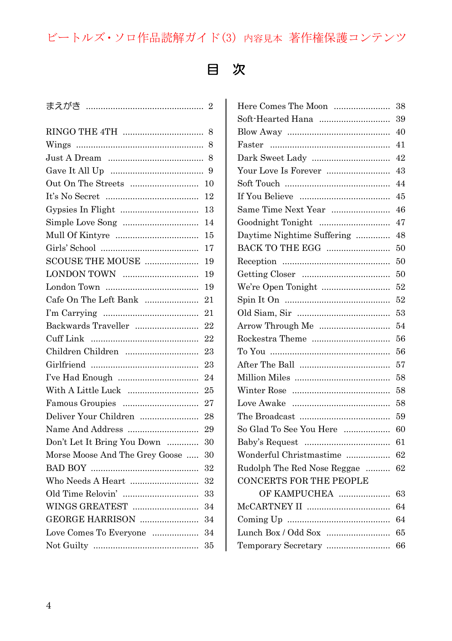## ビートルズ・ソロ作品読解ガイド(3) 内容見本 著作権保護コンテンツ

## 目 次

| まえがき …………………………………………          | $\overline{2}$ |
|--------------------------------|----------------|
|                                | 8              |
|                                | 8              |
|                                | 8              |
|                                | 9              |
| Out On The Streets             | 10             |
|                                | 12             |
|                                | 13             |
|                                | 14             |
|                                | 15             |
|                                | 17             |
| SCOUSE THE MOUSE               | 19             |
| LONDON TOWN                    | 19             |
|                                | 19             |
| Cafe On The Left Bank          | 21             |
|                                | 21             |
| Backwards Traveller            | 22             |
|                                | 22             |
| Children Children              | 23             |
|                                | 23             |
|                                | 24             |
| With A Little Luck             | 25             |
|                                | 27             |
| Deliver Your Children          | 28             |
| Name And Address               | 29             |
| Don't Let It Bring You Down    | 30             |
| Morse Moose And The Grey Goose | 30             |
|                                | 32             |
|                                | 32             |
|                                | 33             |
| WINGS GREATEST                 | 34             |
| GEORGE HARRISON                | 34             |
| Love Comes To Everyone         | 34             |
|                                | 35             |
|                                |                |

| Here Comes The Moon            | 38 |
|--------------------------------|----|
| Soft-Hearted Hana              | 39 |
|                                | 40 |
|                                | 41 |
|                                | 42 |
| Your Love Is Forever           | 43 |
|                                | 44 |
|                                | 45 |
|                                | 46 |
| Goodnight Tonight              | 47 |
| Daytime Nightime Suffering     | 48 |
| BACK TO THE EGG                | 50 |
|                                | 50 |
|                                | 50 |
| We're Open Tonight             | 52 |
|                                | 52 |
|                                | 53 |
| Arrow Through Me               | 54 |
|                                | 56 |
|                                | 56 |
|                                | 57 |
|                                | 58 |
|                                | 58 |
|                                | 58 |
|                                | 59 |
| So Glad To See You Here        | 60 |
|                                | 61 |
| Wonderful Christmastime        | 62 |
| Rudolph The Red Nose Reggae    | 62 |
| <b>CONCERTS FOR THE PEOPLE</b> |    |
| OF KAMPUCHEA                   | 63 |
|                                |    |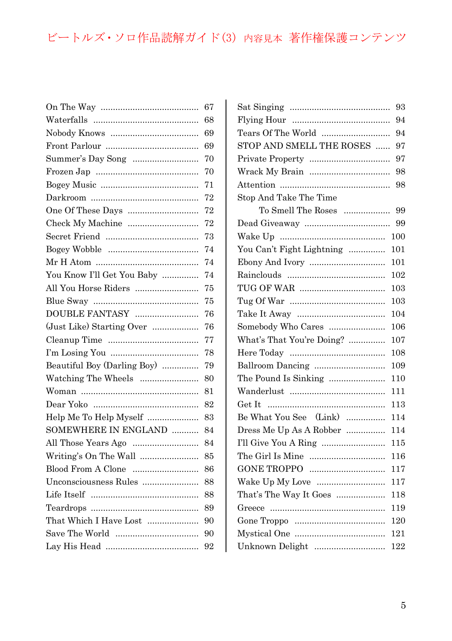## ビートルズ・ソロ作品読解ガイド(3) 内容見本 著作権保護コンテンツ

|                             | 67 |
|-----------------------------|----|
|                             | 68 |
|                             | 69 |
|                             | 69 |
|                             | 70 |
|                             | 70 |
|                             | 71 |
|                             | 72 |
|                             | 72 |
| Check My Machine            | 72 |
|                             | 73 |
|                             | 74 |
|                             | 74 |
| You Know I'll Get You Baby  | 74 |
| All You Horse Riders        | 75 |
|                             | 75 |
| DOUBLE FANTASY              | 76 |
| (Just Like) Starting Over   | 76 |
|                             | 77 |
|                             | 78 |
| Beautiful Boy (Darling Boy) | 79 |
| Watching The Wheels         | 80 |
|                             | 81 |
|                             | 82 |
| Help Me To Help Myself      | 83 |
| SOMEWHERE IN ENGLAND        | 84 |
| All Those Years Ago         | 84 |
| Writing's On The Wall       | 85 |
| Blood From A Clone          | 86 |
| Unconsciousness Rules       | 88 |
|                             | 88 |
|                             | 89 |
| That Which I Have Lost      | 90 |
|                             | 90 |
|                             | 92 |
|                             |    |

|                           | 93      |
|---------------------------|---------|
|                           | 94      |
| Tears Of The World        | 94      |
| STOP AND SMELL THE ROSES  | 97      |
| Private Property          | 97      |
|                           | 98      |
|                           | 98      |
| Stop And Take The Time    |         |
| To Smell The Roses        | 99      |
|                           | 99      |
|                           | 100     |
| You Can't Fight Lightning | 101     |
| Ebony And Ivory           | 101     |
|                           | 102     |
|                           | 103     |
|                           | 103     |
|                           | 104     |
| Somebody Who Cares        | $106\,$ |
| What's That You're Doing? | 107     |
|                           | $108\,$ |
| Ballroom Dancing          | 109     |
| The Pound Is Sinking      | 110     |
|                           | 111     |
|                           | 113     |
| Be What You See (Link)    | 114     |
| Dress Me Up As A Robber   | 114     |
| I'll Give You A Ring      | 115     |
|                           | 116     |
|                           | 117     |
| Wake Up My Love           | 117     |
| That's The Way It Goes    | 118     |
|                           | 119     |
|                           | 120     |
|                           | 121     |
| Unknown Delight           | 122     |
|                           |         |